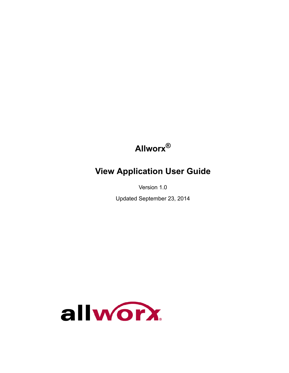

## **View Application User Guide**

Version 1.0

Updated September 23, 2014

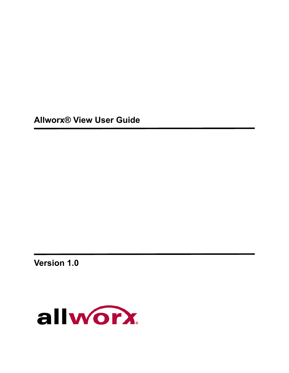**Allworx® View User Guide**

**Version 1.0**

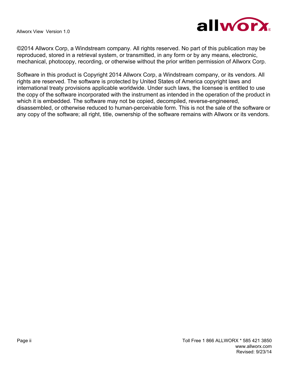Allworx View Version 1.0



©2014 Allworx Corp, a Windstream company. All rights reserved. No part of this publication may be reproduced, stored in a retrieval system, or transmitted, in any form or by any means, electronic, mechanical, photocopy, recording, or otherwise without the prior written permission of Allworx Corp.

Software in this product is Copyright 2014 Allworx Corp, a Windstream company, or its vendors. All rights are reserved. The software is protected by United States of America copyright laws and international treaty provisions applicable worldwide. Under such laws, the licensee is entitled to use the copy of the software incorporated with the instrument as intended in the operation of the product in which it is embedded. The software may not be copied, decompiled, reverse-engineered, disassembled, or otherwise reduced to human-perceivable form. This is not the sale of the software or any copy of the software; all right, title, ownership of the software remains with Allworx or its vendors.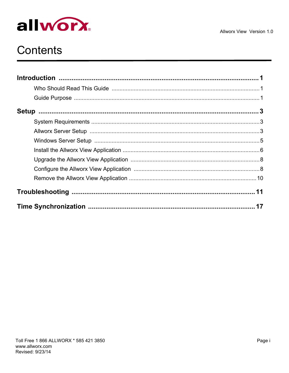

# **Contents**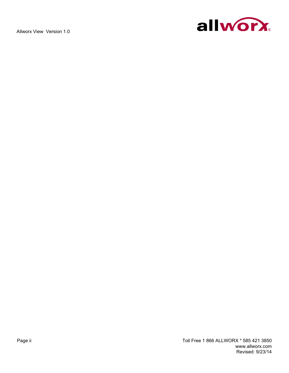Allworx View Version 1.0

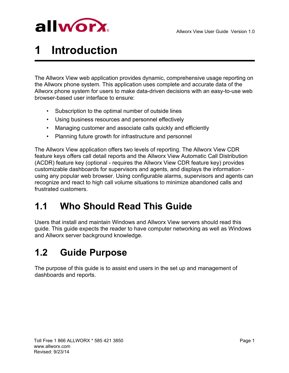

# <span id="page-6-0"></span>**1 Introduction**

The Allworx View web application provides dynamic, comprehensive usage reporting on the Allworx phone system. This application uses complete and accurate data of the Allworx phone system for users to make data-driven decisions with an easy-to-use web browser-based user interface to ensure:

- Subscription to the optimal number of outside lines
- Using business resources and personnel effectively
- Managing customer and associate calls quickly and efficiently
- Planning future growth for infrastructure and personnel

The Allworx View application offers two levels of reporting. The Allworx View CDR feature keys offers call detail reports and the Allworx View Automatic Call Distribution (ACDR) feature key (optional - requires the Allworx View CDR feature key) provides customizable dashboards for supervisors and agents, and displays the information using any popular web browser. Using configurable alarms, supervisors and agents can recognize and react to high call volume situations to minimize abandoned calls and frustrated customers.

## <span id="page-6-1"></span>**1.1 Who Should Read This Guide**

Users that install and maintain Windows and Allworx View servers should read this guide. This guide expects the reader to have computer networking as well as Windows and Allworx server background knowledge.

## <span id="page-6-2"></span>**1.2 Guide Purpose**

The purpose of this guide is to assist end users in the set up and management of dashboards and reports.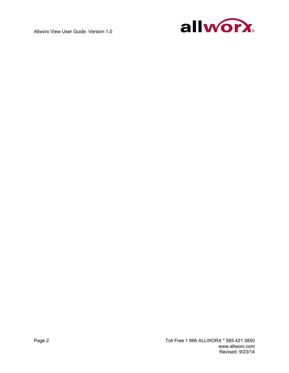Allworx View User Guide Version 1.0

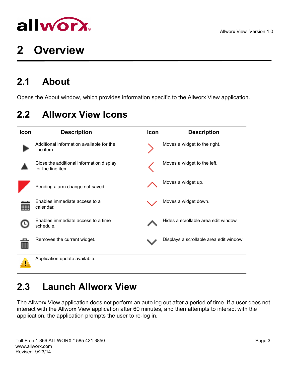

# **2 Overview**

## **2.1 About**

Opens the About window, which provides information specific to the Allworx View application.

## **2.2 Allworx View Icons**

| <b>Icon</b> | <b>Description</b>                                             | <b>Icon</b> | <b>Description</b>                     |
|-------------|----------------------------------------------------------------|-------------|----------------------------------------|
|             | Additional information available for the<br>line item.         |             | Moves a widget to the right.           |
|             | Close the additional information display<br>for the line item. |             | Moves a widget to the left.            |
|             | Pending alarm change not saved.                                |             | Moves a widget up.                     |
|             | Enables immediate access to a<br>calendar.                     |             | Moves a widget down.                   |
|             | Enables immediate access to a time<br>schedule.                |             | Hides a scrollable area edit window    |
|             | Removes the current widget.                                    |             | Displays a scrollable area edit window |
|             | Application update available.                                  |             |                                        |

## **2.3 Launch Allworx View**

The Allworx View application does not perform an auto log out after a period of time. If a user does not interact with the Allworx View application after 60 minutes, and then attempts to interact with the application, the application prompts the user to re-log in.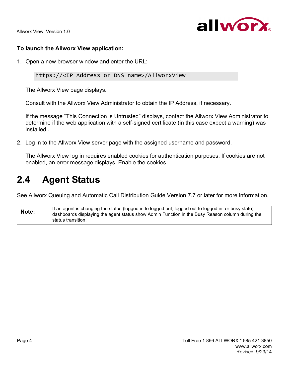

Allworx View Version 1.0

### **To launch the Allworx View application:**

1. Open a new browser window and enter the URL:

https://<IP Address or DNS name>/AllworxView

The Allworx View page displays.

Consult with the Allworx View Administrator to obtain the IP Address, if necessary.

If the message "This Connection is Untrusted" displays, contact the Allworx View Administrator to determine if the web application with a self-signed certificate (in this case expect a warning) was installed..

2. Log in to the Allworx View server page with the assigned username and password.

The Allworx View log in requires enabled cookies for authentication purposes. If cookies are not enabled, an error message displays. Enable the cookies.

## **2.4 Agent Status**

See Allworx Queuing and Automatic Call Distribution Guide Version 7.7 or later for more information.

**Note:** If an agent is changing the status (logged in to logged out, logged out to logged in, or busy state), dashboards displaying the agent status show Admin Function in the Busy Reason column during the status transition.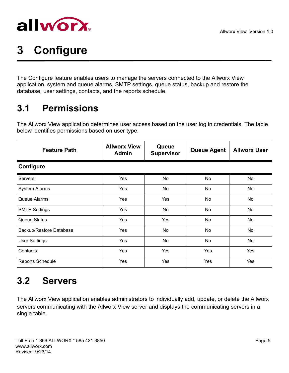

# **3 Configure**

The Configure feature enables users to manage the servers connected to the Allworx View application, system and queue alarms, SMTP settings, queue status, backup and restore the database, user settings, contacts, and the reports schedule.

## **3.1 Permissions**

The Allworx View application determines user access based on the user log in credentials. The table below identifies permissions based on user type.

| <b>Feature Path</b>     | <b>Allworx View</b><br><b>Admin</b> | Queue<br><b>Supervisor</b> | <b>Queue Agent</b> | <b>Allworx User</b> |
|-------------------------|-------------------------------------|----------------------------|--------------------|---------------------|
| Configure               |                                     |                            |                    |                     |
| <b>Servers</b>          | Yes                                 | No                         | No                 | No                  |
| <b>System Alarms</b>    | Yes                                 | <b>No</b>                  | No                 | No                  |
| Queue Alarms            | Yes                                 | Yes                        | No                 | No                  |
| <b>SMTP Settings</b>    | Yes                                 | No                         | No                 | No                  |
| Queue Status            | Yes                                 | Yes                        | No                 | No                  |
| Backup/Restore Database | Yes                                 | <b>No</b>                  | No                 | No                  |
| <b>User Settings</b>    | Yes                                 | No                         | No                 | No                  |
| Contacts                | Yes                                 | Yes                        | Yes                | Yes                 |
| Reports Schedule        | Yes                                 | Yes                        | Yes                | Yes                 |

## **3.2 Servers**

The Allworx View application enables administrators to individually add, update, or delete the Allworx servers communicating with the Allworx View server and displays the communicating servers in a single table.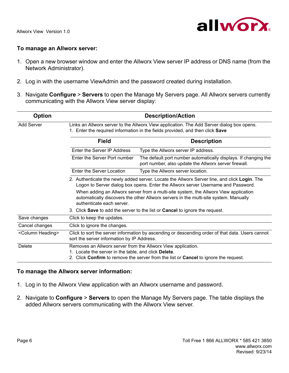Allworx View Version 1.0



### **To manage an Allworx server:**

- 1. Open a new browser window and enter the Allworx View server IP address or DNS name (from the Network Administrator).
- 2. Log in with the username ViewAdmin and the password created during installation.
- 3. Navigate **Configure** > **Servers** to open the Manage My Servers page. All Allworx servers currently communicating with the Allworx View server display:

| <b>Option</b>                |                                                                                                                                                                                                           | <b>Description/Action</b>                                                                                                |  |
|------------------------------|-----------------------------------------------------------------------------------------------------------------------------------------------------------------------------------------------------------|--------------------------------------------------------------------------------------------------------------------------|--|
| Add Server                   | Links an Allworx server to the Allworx View application. The Add Server dialog box opens.<br>1. Enter the required information in the fields provided, and then click Save                                |                                                                                                                          |  |
|                              | <b>Field</b>                                                                                                                                                                                              | <b>Description</b>                                                                                                       |  |
|                              | Enter the Server IP Address                                                                                                                                                                               | Type the Allworx server IP address.                                                                                      |  |
|                              | Enter the Server Port number                                                                                                                                                                              | The default port number automatically displays. If changing the<br>port number, also update the Allworx server firewall. |  |
|                              | Enter the Server Location                                                                                                                                                                                 | Type the Allworx server location.                                                                                        |  |
|                              | 2. Authenticate the newly added server. Locate the Allworx Server line, and click Login. The<br>Logon to Server dialog box opens. Enter the Allworx server Username and Password.                         |                                                                                                                          |  |
|                              | When adding an Allworx server from a multi-site system, the Allworx View application<br>automatically discovers the other Allworx servers in the multi-site system. Manually<br>authenticate each server. |                                                                                                                          |  |
|                              |                                                                                                                                                                                                           | 3. Click Save to add the server to the list or Cancel to ignore the request.                                             |  |
| Save changes                 | Click to keep the updates.                                                                                                                                                                                |                                                                                                                          |  |
| Cancel changes               | Click to ignore the changes.                                                                                                                                                                              |                                                                                                                          |  |
| <column heading=""></column> | sort the server information by IP Address.                                                                                                                                                                | Click to sort the server information by ascending or descending order of that data. Users cannot                         |  |
| Delete                       | Removes an Allworx server from the Allworx View application.<br>1. Locate the server in the table, and click Delete.                                                                                      | 2. Click <b>Confirm</b> to remove the server from the list or <b>Cancel</b> to ignore the request.                       |  |

#### **To manage the Allworx server information:**

- 1. Log in to the Allworx View application with an Allworx username and password.
- 2. Navigate to **Configure** > **Servers** to open the Manage My Servers page. The table displays the added Allworx servers communicating with the Allworx View server.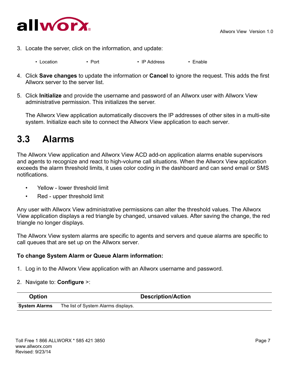

- 3. Locate the server, click on the information, and update:
	- Location Port IP Address Enable
- 4. Click **Save changes** to update the information or **Cancel** to ignore the request. This adds the first Allworx server to the server list.
- 5. Click **Initialize** and provide the username and password of an Allworx user with Allworx View administrative permission. This initializes the server.

The Allworx View application automatically discovers the IP addresses of other sites in a multi-site system. Initialize each site to connect the Allworx View application to each server.

## **3.3 Alarms**

The Allworx View application and Allworx View ACD add-on application alarms enable supervisors and agents to recognize and react to high-volume call situations. When the Allworx View application exceeds the alarm threshold limits, it uses color coding in the dashboard and can send email or SMS notifications.

- Yellow lower threshold limit
- Red upper threshold limit

Any user with Allworx View administrative permissions can alter the threshold values. The Allworx View application displays a red triangle by changed, unsaved values. After saving the change, the red triangle no longer displays.

The Allworx View system alarms are specific to agents and servers and queue alarms are specific to call queues that are set up on the Allworx server.

#### **To change System Alarm or Queue Alarm information:**

- 1. Log in to the Allworx View application with an Allworx username and password.
- 2. Navigate to: **Configure** >:

| Option               |                                     | <b>Description/Action</b> |  |
|----------------------|-------------------------------------|---------------------------|--|
| <b>System Alarms</b> | The list of System Alarms displays. |                           |  |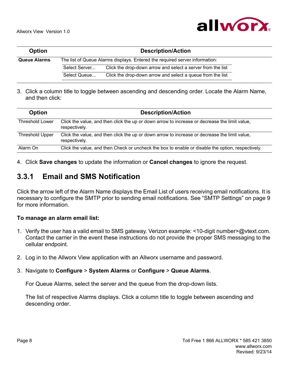

| <b>Option</b>       |                                                                             | <b>Description/Action</b>                                   |  |
|---------------------|-----------------------------------------------------------------------------|-------------------------------------------------------------|--|
| <b>Queue Alarms</b> | The list of Queue Alarms displays. Entered the required server information: |                                                             |  |
|                     | Select Server                                                               | Click the drop-down arrow and select a server from the list |  |
|                     | Select Queue                                                                | Click the drop-down arrow and select a queue from the list  |  |

3. Click a column title to toggle between ascending and descending order. Locate the Alarm Name, and then click:

| <b>Option</b>          | <b>Description/Action</b>                                                                                      |
|------------------------|----------------------------------------------------------------------------------------------------------------|
| <b>Threshold Lower</b> | Click the value, and then click the up or down arrow to increase or decrease the limit value,<br>respectively. |
| <b>Threshold Upper</b> | Click the value, and then click the up or down arrow to increase or decrease the limit value,<br>respectively. |
| Alarm On               | Click the value, and then Check or uncheck the box to enable or disable the option, respectively.              |

4. Click **Save changes** to update the information or **Cancel changes** to ignore the request.

### **3.3.1 Email and SMS Notification**

Click the arrow left of the Alarm Name displays the Email List of users receiving email notifications. It is necessary to configure the SMTP prior to sending email notifications. See ["SMTP Settings" on page 9](#page-14-0)  for more information.

#### **To manage an alarm email list:**

- 1. Verify the user has a valid email to SMS gateway. Verizon example: <10-digit number>@vtext.com. Contact the carrier in the event these instructions do not provide the proper SMS messaging to the cellular endpoint.
- 2. Log in to the Allworx View application with an Allworx username and password.

#### 3. Navigate to **Configure** > **System Alarms** or **Configure** > **Queue Alarms**.

For Queue Alarms, select the server and the queue from the drop-down lists.

The list of respective Alarms displays. Click a column title to toggle between ascending and descending order.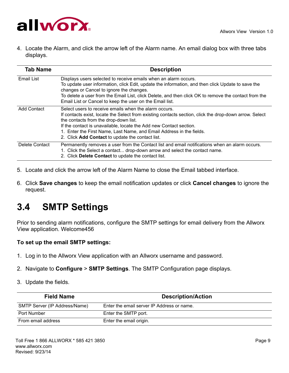

4. Locate the Alarm, and click the arrow left of the Alarm name. An email dialog box with three tabs displays.

| <b>Tab Name</b>    | <b>Description</b>                                                                                                                                                                                                                                                                                                                                                                                         |
|--------------------|------------------------------------------------------------------------------------------------------------------------------------------------------------------------------------------------------------------------------------------------------------------------------------------------------------------------------------------------------------------------------------------------------------|
| Email List         | Displays users selected to receive emails when an alarm occurs.<br>To update user information, click Edit, update the information, and then click Update to save the<br>changes or Cancel to ignore the changes.<br>To delete a user from the Email List, click Delete, and then click OK to remove the contact from the<br>Email List or Cancel to keep the user on the Email list.                       |
| <b>Add Contact</b> | Select users to receive emails when the alarm occurs.<br>If contacts exist, locate the Select from existing contacts section, click the drop-down arrow. Select<br>the contacts from the drop-down list.<br>If the contact is unavailable, locate the Add new Contact section.<br>1. Enter the First Name, Last Name, and Email Address in the fields.<br>2. Click Add Contact to update the contact list. |
| Delete Contact     | Permanently removes a user from the Contact list and email notifications when an alarm occurs.<br>1. Click the Select a contact drop-down arrow and select the contact name.<br>2. Click Delete Contact to update the contact list.                                                                                                                                                                        |

- 5. Locate and click the arrow left of the Alarm Name to close the Email tabbed interface.
- 6. Click **Save changes** to keep the email notification updates or click **Cancel changes** to ignore the request.

## <span id="page-14-0"></span>**3.4 SMTP Settings**

Prior to sending alarm notifications, configure the SMTP settings for email delivery from the Allworx View application. Welcome456

### **To set up the email SMTP settings:**

- 1. Log in to the Allworx View application with an Allworx username and password.
- 2. Navigate to **Configure** > **SMTP Settings**. The SMTP Configuration page displays.
- 3. Update the fields.

| <b>Field Name</b>             | <b>Description/Action</b>                  |
|-------------------------------|--------------------------------------------|
| SMTP Server (IP Address/Name) | Enter the email server IP Address or name. |
| <b>Port Number</b>            | Enter the SMTP port.                       |
| From email address            | Enter the email origin.                    |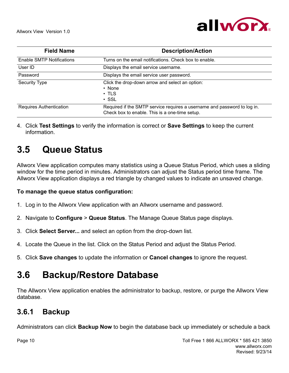

| <b>Field Name</b>                | <b>Description/Action</b>                                                                                                  |
|----------------------------------|----------------------------------------------------------------------------------------------------------------------------|
| <b>Enable SMTP Notifications</b> | Turns on the email notifications. Check box to enable.                                                                     |
| User ID                          | Displays the email service username.                                                                                       |
| Password                         | Displays the email service user password.                                                                                  |
| <b>Security Type</b>             | Click the drop-down arrow and select an option:<br>• None<br>$\cdot$ TLS<br>$\cdot$ SSL                                    |
| <b>Requires Authentication</b>   | Required if the SMTP service requires a username and password to log in.<br>Check box to enable. This is a one-time setup. |

4. Click **Test Settings** to verify the information is correct or **Save Settings** to keep the current information.

## **3.5 Queue Status**

Allworx View application computes many statistics using a Queue Status Period, which uses a sliding window for the time period in minutes. Administrators can adjust the Status period time frame. The Allworx View application displays a red triangle by changed values to indicate an unsaved change.

### **To manage the queue status configuration:**

- 1. Log in to the Allworx View application with an Allworx username and password.
- 2. Navigate to **Configure** > **Queue Status**. The Manage Queue Status page displays.
- 3. Click **Select Server...** and select an option from the drop-down list.
- 4. Locate the Queue in the list. Click on the Status Period and adjust the Status Period.
- 5. Click **Save changes** to update the information or **Cancel changes** to ignore the request.

## **3.6 Backup/Restore Database**

The Allworx View application enables the administrator to backup, restore, or purge the Allworx View database.

### **3.6.1 Backup**

Administrators can click **Backup Now** to begin the database back up immediately or schedule a back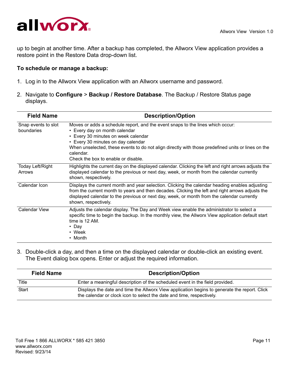

up to begin at another time. After a backup has completed, the Allworx View application provides a restore point in the Restore Data drop-down list.

#### **To schedule or manage a backup:**

- 1. Log in to the Allworx View application with an Allworx username and password.
- 2. Navigate to **Configure** > **Backup / Restore Database**. The Backup / Restore Status page displays.

| <b>Field Name</b>                 | <b>Description/Option</b>                                                                                                                                                                                                                                                                                                                              |
|-----------------------------------|--------------------------------------------------------------------------------------------------------------------------------------------------------------------------------------------------------------------------------------------------------------------------------------------------------------------------------------------------------|
| Snap events to slot<br>boundaries | Moves or adds a schedule report, and the event snaps to the lines which occur:<br>• Every day on month calendar<br>• Every 30 minutes on week calendar<br>• Every 30 minutes on day calendar<br>When unselected, these events to do not align directly with those predefined units or lines on the<br>calendar.<br>Check the box to enable or disable. |
| Today Left/Right<br>Arrows        | Highlights the current day on the displayed calendar. Clicking the left and right arrows adjusts the<br>displayed calendar to the previous or next day, week, or month from the calendar currently<br>shown, respectively.                                                                                                                             |
| Calendar Icon                     | Displays the current month and year selection. Clicking the calendar heading enables adjusting<br>from the current month to years and then decades. Clicking the left and right arrows adjusts the<br>displayed calendar to the previous or next day, week, or month from the calendar currently<br>shown, respectively.                               |
| <b>Calendar View</b>              | Adjusts the calendar display. The Day and Week view enable the administrator to select a<br>specific time to begin the backup. In the monthly view, the Allworx View application default start<br>time is 12 AM.<br>$\cdot$ Day<br>• Week<br>• Month                                                                                                   |

3. Double-click a day, and then a time on the displayed calendar or double-click an existing event. The Event dialog box opens. Enter or adjust the required information.

| <b>Field Name</b> | <b>Description/Option</b>                                                                                                                                             |
|-------------------|-----------------------------------------------------------------------------------------------------------------------------------------------------------------------|
| Title             | Enter a meaningful description of the scheduled event in the field provided.                                                                                          |
| <b>Start</b>      | Displays the date and time the Allworx View application begins to generate the report. Click<br>the calendar or clock icon to select the date and time, respectively. |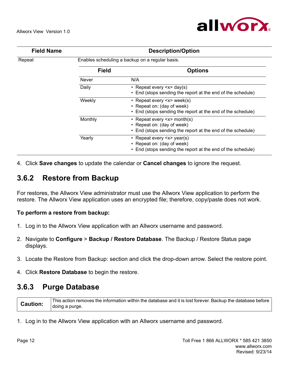

| <b>Field Name</b> | <b>Description/Option</b>                       |                                                                                                                                          |  |
|-------------------|-------------------------------------------------|------------------------------------------------------------------------------------------------------------------------------------------|--|
| Repeat            | Enables scheduling a backup on a regular basis. |                                                                                                                                          |  |
|                   | <b>Field</b>                                    | <b>Options</b>                                                                                                                           |  |
|                   | <b>Never</b>                                    | N/A                                                                                                                                      |  |
|                   | Daily                                           | • Repeat every $\langle x \rangle$ day(s)<br>• End (stops sending the report at the end of the schedule)                                 |  |
|                   | Weekly                                          | • Repeat every $\langle x \rangle$ week(s)<br>• Repeat on: (day of week)<br>• End (stops sending the report at the end of the schedule)  |  |
|                   | Monthly                                         | • Repeat every $\langle x \rangle$ month(s)<br>• Repeat on: (day of week)<br>• End (stops sending the report at the end of the schedule) |  |
|                   | Yearly                                          | • Repeat every <x> year(s)<br/>• Repeat on: (day of week)<br/>• End (stops sending the report at the end of the schedule)</x>            |  |

4. Click **Save changes** to update the calendar or **Cancel changes** to ignore the request.

### **3.6.2 Restore from Backup**

For restores, the Allworx View administrator must use the Allworx View application to perform the restore. The Allworx View application uses an encrypted file; therefore, copy/paste does not work.

#### **To perform a restore from backup:**

- 1. Log in to the Allworx View application with an Allworx username and password.
- 2. Navigate to **Configure** > **Backup / Restore Database**. The Backup / Restore Status page displays.
- 3. Locate the Restore from Backup: section and click the drop-down arrow. Select the restore point.
- 4. Click **Restore Database** to begin the restore.

### **3.6.3 Purge Database**

**Caution:** This action removes the information within the database and it is lost forever. Backup the database before doing a purge.

1. Log in to the Allworx View application with an Allworx username and password.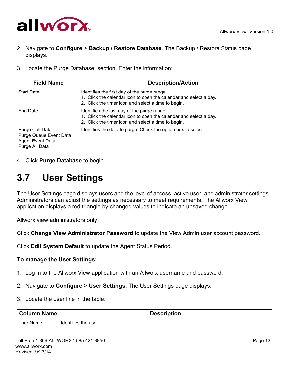

- 2. Navigate to **Configure** > **Backup / Restore Database**. The Backup / Restore Status page displays.
- 3. Locate the Purge Database: section. Enter the information:

| <b>Field Name</b>                                                                      | <b>Description/Action</b>                                                                                                                                                |  |  |
|----------------------------------------------------------------------------------------|--------------------------------------------------------------------------------------------------------------------------------------------------------------------------|--|--|
| <b>Start Date</b>                                                                      | Identifies the first day of the purge range.<br>1. Click the calendar icon to open the calendar and select a day.<br>2. Click the timer icon and select a time to begin. |  |  |
| End Date                                                                               | Identifies the last day of the purge range.<br>1. Click the calendar icon to open the calendar and select a day.<br>2. Click the timer icon and select a time to begin.  |  |  |
| Purge Call Data<br>Purge Queue Event Data<br><b>Agent Event Data</b><br>Purge All Data | Identifies the data to purge. Check the option box to select.                                                                                                            |  |  |

### 4. Click **Purge Database** to begin.

## <span id="page-18-0"></span>**3.7 User Settings**

The User Settings page displays users and the level of access, active user, and administrator settings. Administrators can adjust the settings as necessary to meet requirements. The Allworx View application displays a red triangle by changed values to indicate an unsaved change.

Allworx view administrators only:

Click **Change View Administrator Password** to update the View Admin user account password.

Click **Edit System Default** to update the Agent Status Period.

#### **To manage the User Settings:**

- 1. Log in to the Allworx View application with an Allworx username and password.
- 2. Navigate to **Configure** > **User Settings**. The User Settings page displays.
- 3. Locate the user line in the table.

| <b>Column Name</b> | <b>Description</b><br><b>Description</b> |
|--------------------|------------------------------------------|
| .                  |                                          |

User Name Identifies the user.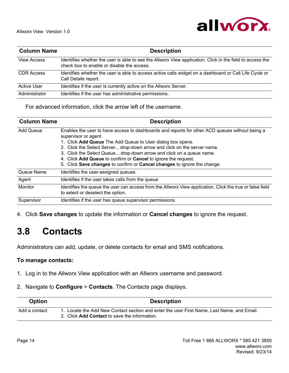

| <b>Column Name</b> | <b>Description</b>                                                                                                                                      |
|--------------------|---------------------------------------------------------------------------------------------------------------------------------------------------------|
| <b>View Access</b> | Identifies whether the user is able to see the Allworx View application. Click in the field to access the<br>check box to enable or disable the access. |
| <b>CDR Access</b>  | Identifies whether the user is able to access active calls widget on a dashboard or Call Life Cycle or<br>Call Details report.                          |
| <b>Active User</b> | Identifies if the user is currently active on the Allworx Server.                                                                                       |
| Administrator      | Identifies if the user has administrative permissions.                                                                                                  |

For advanced information, click the arrow left of the username.

| <b>Column Name</b> | <b>Description</b>                                                                                                                                                                                                                                                                                                                                                                                                                                                                     |  |
|--------------------|----------------------------------------------------------------------------------------------------------------------------------------------------------------------------------------------------------------------------------------------------------------------------------------------------------------------------------------------------------------------------------------------------------------------------------------------------------------------------------------|--|
| <b>Add Queue</b>   | Enables the user to have access to dashboards and reports for other ACD queues without being a<br>supervisor or agent.<br>1. Click Add Queue The Add Queue to User dialog box opens.<br>2. Click the Select Server drop-down arrow and click on the server name.<br>3. Click the Select Queue drop-down arrow and click on a queue name.<br>4. Click Add Queue to confirm or Cancel to ignore the request.<br>5. Click Save changes to confirm or Cancel changes to ignore the change. |  |
| Queue Name         | Identifies the user-assigned queues.                                                                                                                                                                                                                                                                                                                                                                                                                                                   |  |
| Agent              | Identifies if the user takes calls from the queue                                                                                                                                                                                                                                                                                                                                                                                                                                      |  |
| Monitor            | Identifies the queue the user can access from the Allworx View application. Click the true or false field<br>to select or deselect the option.                                                                                                                                                                                                                                                                                                                                         |  |
| Supervisor         | Identifies if the user has queue supervisor permissions.                                                                                                                                                                                                                                                                                                                                                                                                                               |  |

4. Click **Save changes** to update the information or **Cancel changes** to ignore the request.

## <span id="page-19-0"></span>**3.8 Contacts**

Administrators can add, update, or delete contacts for email and SMS notifications.

### **To manage contacts:**

- 1. Log in to the Allworx View application with an Allworx username and password.
- 2. Navigate to **Configure** > **Contacts**. The Contacts page displays.

| <b>Option</b> | <b>Description</b>                                                                                                                          |
|---------------|---------------------------------------------------------------------------------------------------------------------------------------------|
| Add a contact | 1. Locate the Add New Contact section and enter the user First Name, Last Name, and Email.<br>2. Click Add Contact to save the information. |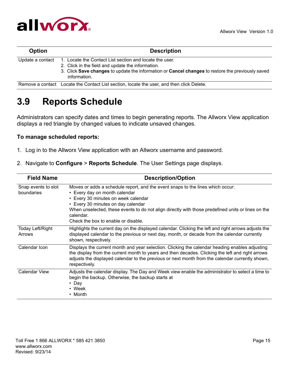

| <b>Option</b>    | <b>Description</b>                                                                                                                                                                                                                |
|------------------|-----------------------------------------------------------------------------------------------------------------------------------------------------------------------------------------------------------------------------------|
| Update a contact | 1. Locate the Contact List section and locate the user.<br>2. Click in the field and update the information.<br>3. Click Save changes to update the information or Cancel changes to restore the previously saved<br>information. |
|                  | Remove a contact Locate the Contact List section, locate the user, and then click Delete.                                                                                                                                         |

## **3.9 Reports Schedule**

Administrators can specify dates and times to begin generating reports. The Allworx View application displays a red triangle by changed values to indicate unsaved changes.

### **To manage scheduled reports:**

- 1. Log in to the Allworx View application with an Allworx username and password.
- 2. Navigate to **Configure** > **Reports Schedule**. The User Settings page displays.

| <b>Field Name</b>                 | <b>Description/Option</b>                                                                                                                                                                                                                                                                                                                              |  |  |
|-----------------------------------|--------------------------------------------------------------------------------------------------------------------------------------------------------------------------------------------------------------------------------------------------------------------------------------------------------------------------------------------------------|--|--|
| Snap events to slot<br>boundaries | Moves or adds a schedule report, and the event snaps to the lines which occur:<br>• Every day on month calendar<br>• Every 30 minutes on week calendar<br>• Every 30 minutes on day calendar<br>When unselected, these events to do not align directly with those predefined units or lines on the<br>calendar.<br>Check the box to enable or disable. |  |  |
| Today Left/Right<br>Arrows        | Highlights the current day on the displayed calendar. Clicking the left and right arrows adjusts the<br>displayed calendar to the previous or next day, month, or decade from the calendar currently<br>shown, respectively.                                                                                                                           |  |  |
| Calendar Icon                     | Displays the current month and year selection. Clicking the calendar heading enables adjusting<br>the display from the current month to years and then decades. Clicking the left and right arrows<br>adjusts the displayed calendar to the previous or next month from the calendar currently shown,<br>respectively.                                 |  |  |
| <b>Calendar View</b>              | Adjusts the calendar display. The Day and Week view enable the administrator to select a time to<br>begin the backup. Otherwise, the backup starts at<br>• Day<br>• Week<br>• Month                                                                                                                                                                    |  |  |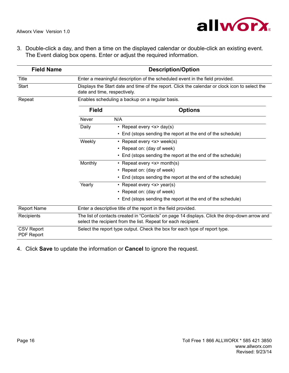

3. Double-click a day, and then a time on the displayed calendar or double-click an existing event. The Event dialog box opens. Enter or adjust the required information.

| <b>Field Name</b>                      | <b>Description/Option</b>                                                                                                                                       |                                                             |  |
|----------------------------------------|-----------------------------------------------------------------------------------------------------------------------------------------------------------------|-------------------------------------------------------------|--|
| <b>Title</b>                           | Enter a meaningful description of the scheduled event in the field provided.                                                                                    |                                                             |  |
| <b>Start</b>                           | Displays the Start date and time of the report. Click the calendar or clock icon to select the<br>date and time, respectively.                                  |                                                             |  |
| Repeat                                 | Enables scheduling a backup on a regular basis.                                                                                                                 |                                                             |  |
|                                        | <b>Field</b>                                                                                                                                                    | <b>Options</b>                                              |  |
|                                        | Never                                                                                                                                                           | N/A                                                         |  |
|                                        | Daily                                                                                                                                                           | • Repeat every $\langle x \rangle$ day(s)                   |  |
|                                        |                                                                                                                                                                 | • End (stops sending the report at the end of the schedule) |  |
|                                        | Weekly                                                                                                                                                          | • Repeat every <x> week(s)</x>                              |  |
|                                        |                                                                                                                                                                 | • Repeat on: (day of week)                                  |  |
|                                        |                                                                                                                                                                 | • End (stops sending the report at the end of the schedule) |  |
|                                        | Monthly                                                                                                                                                         | • Repeat every <x> month(s)</x>                             |  |
|                                        |                                                                                                                                                                 | • Repeat on: (day of week)                                  |  |
|                                        |                                                                                                                                                                 | • End (stops sending the report at the end of the schedule) |  |
|                                        | Yearly                                                                                                                                                          | • Repeat every $\langle x \rangle$ year(s)                  |  |
|                                        |                                                                                                                                                                 | • Repeat on: (day of week)                                  |  |
|                                        |                                                                                                                                                                 | • End (stops sending the report at the end of the schedule) |  |
| <b>Report Name</b>                     | Enter a descriptive title of the report in the field provided.                                                                                                  |                                                             |  |
| Recipients                             | The list of contacts created in "Contacts" on page 14 displays. Click the drop-down arrow and<br>select the recipient from the list. Repeat for each recipient. |                                                             |  |
| <b>CSV Report</b><br><b>PDF Report</b> | Select the report type output. Check the box for each type of report type.                                                                                      |                                                             |  |

4. Click **Save** to update the information or **Cancel** to ignore the request.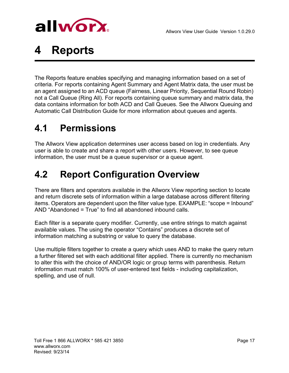

# **4 Reports**

The Reports feature enables specifying and managing information based on a set of criteria. For reports containing Agent Summary and Agent Matrix data, the user must be an agent assigned to an ACD queue (Fairness, Linear Priority, Sequential Round Robin) not a Call Queue (Ring All). For reports containing queue summary and matrix data, the data contains information for both ACD and Call Queues. See the Allworx Queuing and Automatic Call Distribution Guide for more information about queues and agents.

## **4.1 Permissions**

The Allworx View application determines user access based on log in credentials. Any user is able to create and share a report with other users. However, to see queue information, the user must be a queue supervisor or a queue agent.

## **4.2 Report Configuration Overview**

There are filters and operators available in the Allworx View reporting section to locate and return discrete sets of information within a large database across different filtering items. Operators are dependent upon the filter value type. EXAMPLE: "scope = Inbound" AND "Abandoned = True" to find all abandoned inbound calls.

Each filter is a separate query modifier. Currently, use entire strings to match against available values. The using the operator "Contains" produces a discrete set of information matching a substring or value to query the database.

Use multiple filters together to create a query which uses AND to make the query return a further filtered set with each additional filter applied. There is currently no mechanism to alter this with the choice of AND/OR logic or group terms with parenthesis. Return information must match 100% of user-entered text fields - including capitalization, spelling, and use of null.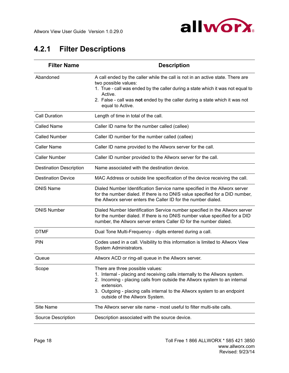

### <span id="page-23-0"></span>**4.2.1 Filter Descriptions**

| <b>Filter Name</b>             | <b>Description</b>                                                                                                                                                                                                                                                                                                         |  |
|--------------------------------|----------------------------------------------------------------------------------------------------------------------------------------------------------------------------------------------------------------------------------------------------------------------------------------------------------------------------|--|
| Abandoned                      | A call ended by the caller while the call is not in an active state. There are<br>two possible values:<br>1. True - call was ended by the caller during a state which it was not equal to<br>Active.<br>2. False - call was not ended by the caller during a state which it was not<br>equal to Active.                    |  |
| <b>Call Duration</b>           | Length of time in total of the call.                                                                                                                                                                                                                                                                                       |  |
| <b>Called Name</b>             | Caller ID name for the number called (callee)                                                                                                                                                                                                                                                                              |  |
| <b>Called Number</b>           | Caller ID number for the number called (callee)                                                                                                                                                                                                                                                                            |  |
| <b>Caller Name</b>             | Caller ID name provided to the Allworx server for the call.                                                                                                                                                                                                                                                                |  |
| <b>Caller Number</b>           | Caller ID number provided to the Allworx server for the call.                                                                                                                                                                                                                                                              |  |
| <b>Destination Description</b> | Name associated with the destination device.                                                                                                                                                                                                                                                                               |  |
| <b>Destination Device</b>      | MAC Address or outside line specification of the device receiving the call.                                                                                                                                                                                                                                                |  |
| <b>DNIS Name</b>               | Dialed Number Identification Service name specified in the Allworx server<br>for the number dialed. If there is no DNIS value specified for a DID number,<br>the Allworx server enters the Caller ID for the number dialed.                                                                                                |  |
| <b>DNIS Number</b>             | Dialed Number Identification Service number specified in the Allworx server<br>for the number dialed. If there is no DNIS number value specified for a DID<br>number, the Allworx server enters Caller ID for the number dialed.                                                                                           |  |
| <b>DTMF</b>                    | Dual Tone Multi-Frequency - digits entered during a call.                                                                                                                                                                                                                                                                  |  |
| <b>PIN</b>                     | Codes used in a call. Visibility to this information is limited to Allworx View<br>System Administrators.                                                                                                                                                                                                                  |  |
| Queue                          | Allworx ACD or ring-all queue in the Allworx server.                                                                                                                                                                                                                                                                       |  |
| Scope                          | There are three possible values:<br>1. Internal - placing and receiving calls internally to the Allworx system.<br>2. Incoming - placing calls from outside the Allworx system to an internal<br>extension.<br>3. Outgoing - placing calls internal to the Allworx system to an endpoint<br>outside of the Allworx System. |  |
| Site Name                      | The Allworx server site name - most useful to filter multi-site calls.                                                                                                                                                                                                                                                     |  |
| <b>Source Description</b>      | Description associated with the source device.                                                                                                                                                                                                                                                                             |  |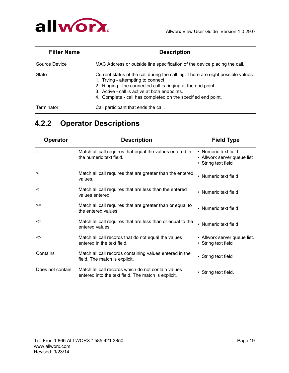

| <b>Filter Name</b> | <b>Description</b>                                                                                                                                                                                                                                                                                      |  |  |
|--------------------|---------------------------------------------------------------------------------------------------------------------------------------------------------------------------------------------------------------------------------------------------------------------------------------------------------|--|--|
| Source Device      | MAC Address or outside line specification of the device placing the call.                                                                                                                                                                                                                               |  |  |
| <b>State</b>       | Current status of the call during the call leg. There are eight possible values:<br>1. Trying - attempting to connect.<br>2. Ringing - the connected call is ringing at the end point.<br>3. Active - call is active at both endpoints.<br>4. Complete - call has completed on the specified end point. |  |  |
| Terminator         | Call participant that ends the call.                                                                                                                                                                                                                                                                    |  |  |

### <span id="page-24-0"></span>**4.2.2 Operator Descriptions**

| <b>Operator</b>   | <b>Description</b>                                                                                        | <b>Field Type</b>                                                          |
|-------------------|-----------------------------------------------------------------------------------------------------------|----------------------------------------------------------------------------|
| $=$               | Match all call requires that equal the values entered in<br>the numeric text field.                       | • Numeric text field<br>• Allworx server queue list<br>• String text field |
| $\geq$            | Match all call requires that are greater than the entered<br>values.                                      | • Numeric text field                                                       |
| $\prec$           | Match all call requires that are less than the entered<br>values entered.                                 | • Numeric text field                                                       |
| >=                | Match all call requires that are greater than or equal to<br>the entered values.                          | • Numeric text field                                                       |
| $\leq$            | Match all call requires that are less than or equal to the<br>entered values.                             | Numeric text field                                                         |
| $\leftrightarrow$ | Match all call records that do not equal the values<br>entered in the text field.                         | • Allworx server queue list.<br>String text field                          |
| Contains          | Match all call records containing values entered in the<br>field. The match is explicit.                  | • String text field                                                        |
| Does not contain  | Match all call records which do not contain values<br>entered into the text field. The match is explicit. | String text field.                                                         |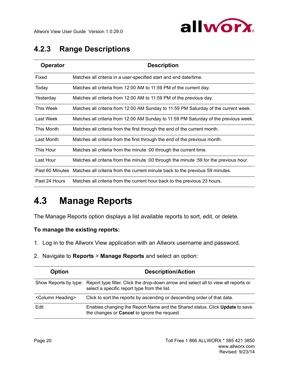

### <span id="page-25-0"></span>**4.2.3 Range Descriptions**

| <b>Operator</b> | <b>Description</b>                                                                            |
|-----------------|-----------------------------------------------------------------------------------------------|
| Fixed           | Matches all criteria in a user-specified start and end date/time.                             |
| Today           | Matches all criteria from 12:00 AM to 11:59 PM of the current day.                            |
| Yesterday       | Matches all criteria from 12:00 AM to 11:59 PM of the previous day.                           |
| This Week       | Matches all criteria from 12:00 AM Sunday to 11:59 PM Saturday of the current week.           |
| Last Week       | Matches all criteria from 12:00 AM Sunday to 11:59 PM Saturday of the previous week.          |
| This Month      | Matches all criteria from the first through the end of the current month.                     |
| Last Month      | Matches all criteria from the first through the end of the previous month.                    |
| This Hour       | Matches all criteria from the minute :00 through the current time.                            |
| Last Hour       | Matches all criteria from the minute :00 through the minute :59 for the previous hour.        |
|                 | Past 60 Minutes Matches all criteria from the current minute back to the previous 59 minutes. |
| Past 24 Hours   | Matches all criteria from the current hour back to the previous 23 hours.                     |

## **4.3 Manage Reports**

The Manage Reports option displays a list available reports to sort, edit, or delete.

### **To manage the existing reports:**

- 1. Log in to the Allworx View application with an Allworx username and password.
- 2. Navigate to **Reports** > **Manage Reports** and select an option:

| <b>Option</b>                | <b>Description/Action</b>                                                                                                                                 |
|------------------------------|-----------------------------------------------------------------------------------------------------------------------------------------------------------|
|                              | Show Reports by type: Report type filter. Click the drop-down arrow and select all to view all reports or<br>select a specific report type from the list. |
| <column heading=""></column> | Click to sort the reports by ascending or descending order of that data.                                                                                  |
| Edit                         | Enables changing the Report Name and the Shared status. Click Update to save<br>the changes or Cancel to ignore the request.                              |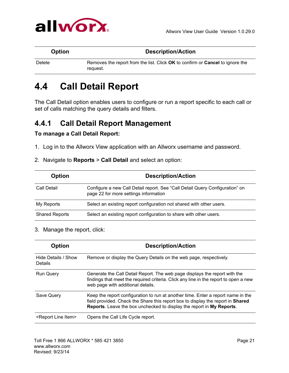

| <b>Option</b> | <b>Description/Action</b>                                                                 |
|---------------|-------------------------------------------------------------------------------------------|
| Delete        | Removes the report from the list. Click OK to confirm or Cancel to ignore the<br>request. |

## **4.4 Call Detail Report**

The Call Detail option enables users to configure or run a report specific to each call or set of calls matching the query details and filters.

### **4.4.1 Call Detail Report Management**

### **To manage a Call Detail Report:**

- 1. Log in to the Allworx View application with an Allworx username and password.
- 2. Navigate to **Reports** > **Call Detail** and select an option:

| <b>Option</b>         | <b>Description/Action</b>                                                                                             |
|-----------------------|-----------------------------------------------------------------------------------------------------------------------|
| Call Detail           | Configure a new Call Detail report. See "Call Detail Query Configuration" on<br>page 22 for more settings information |
| My Reports            | Select an existing report configuration not shared with other users.                                                  |
| <b>Shared Reports</b> | Select an existing report configuration to share with other users.                                                    |

#### 3. Manage the report, click:

| <b>Option</b>                     | <b>Description/Action</b>                                                                                                                                                                                                                           |
|-----------------------------------|-----------------------------------------------------------------------------------------------------------------------------------------------------------------------------------------------------------------------------------------------------|
| Hide Details / Show<br>Details    | Remove or display the Query Details on the web page, respectively.                                                                                                                                                                                  |
| <b>Run Query</b>                  | Generate the Call Detail Report. The web page displays the report with the<br>findings that meet the required criteria. Click any line in the report to open a new<br>web page with additional details.                                             |
| Save Query                        | Keep the report configuration to run at another time. Enter a report name in the<br>field provided. Check the Share this report box to display the report in <b>Shared</b><br>Reports. Leave the box unchecked to display the report in My Reports. |
| <report item="" line=""></report> | Opens the Call Life Cycle report.                                                                                                                                                                                                                   |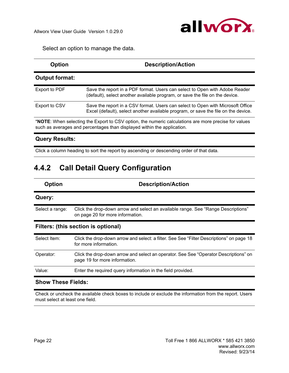

Select an option to manage the data.

| <b>Option</b>         | <b>Description/Action</b>                                                                                                                                                               |
|-----------------------|-----------------------------------------------------------------------------------------------------------------------------------------------------------------------------------------|
| <b>Output format:</b> |                                                                                                                                                                                         |
| Export to PDF         | Save the report in a PDF format. Users can select to Open with Adobe Reader<br>(default), select another available program, or save the file on the device.                             |
| Export to CSV         | Save the report in a CSV format. Users can select to Open with Microsoft Office<br>Excel (default), select another available program, or save the file on the device.                   |
|                       | * <b>NOTE:</b> When selecting the Export to CSV option, the numeric calculations are more precise for values<br>such as averages and percentages than displayed within the application. |

### **Query Results:**

Click a column heading to sort the report by ascending or descending order of that data.

### <span id="page-27-0"></span>**4.4.2 Call Detail Query Configuration**

| <b>Option</b>   | <b>Description/Action</b>                                                                                             |
|-----------------|-----------------------------------------------------------------------------------------------------------------------|
| Query:          |                                                                                                                       |
| Select a range: | Click the drop-down arrow and select an available range. See "Range Descriptions"<br>on page 20 for more information. |
|                 | Filters: (this section is optional)                                                                                   |
| Select Item:    | Click the drop-down arrow and select: a filter. See See "Filter Descriptions" on page 18<br>for more information.     |
| Operator:       | Click the drop-down arrow and select an operator. See See "Operator Descriptions" on<br>page 19 for more information. |
| Value:          | Enter the required query information in the field provided.                                                           |

#### **Show These Fields:**

Check or uncheck the available check boxes to include or exclude the information from the report. Users must select at least one field.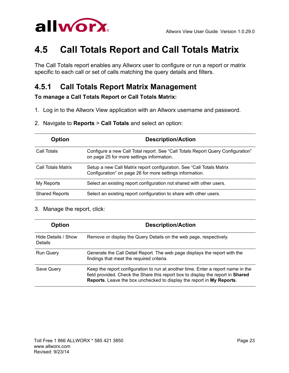

## **4.5 Call Totals Report and Call Totals Matrix**

The Call Totals report enables any Allworx user to configure or run a report or matrix specific to each call or set of calls matching the query details and filters.

### **4.5.1 Call Totals Report Matrix Management**

### **To manage a Call Totals Report or Call Totals Matrix:**

- 1. Log in to the Allworx View application with an Allworx username and password.
- 2. Navigate to **Reports** > **Call Totals** and select an option:

| <b>Option</b>         | <b>Description/Action</b>                                                                                                         |
|-----------------------|-----------------------------------------------------------------------------------------------------------------------------------|
| Call Totals           | Configure a new Call Total report. See "Call Totals Report Query Configuration"<br>on page 25 for more settings information.      |
| Call Totals Matrix    | Setup a new Call Matrix report configuration. See "Call Totals Matrix<br>Configuration" on page 26 for more settings information. |
| My Reports            | Select an existing report configuration not shared with other users.                                                              |
| <b>Shared Reports</b> | Select an existing report configuration to share with other users.                                                                |

#### 3. Manage the report, click:

| <b>Option</b>                         | <b>Description/Action</b>                                                                                                                                                                                                                    |
|---------------------------------------|----------------------------------------------------------------------------------------------------------------------------------------------------------------------------------------------------------------------------------------------|
| Hide Details / Show<br><b>Details</b> | Remove or display the Query Details on the web page, respectively.                                                                                                                                                                           |
| <b>Run Query</b>                      | Generate the Call Detail Report. The web page displays the report with the<br>findings that meet the required criteria.                                                                                                                      |
| Save Query                            | Keep the report configuration to run at another time. Enter a report name in the<br>field provided. Check the Share this report box to display the report in Shared<br>Reports. Leave the box unchecked to display the report in My Reports. |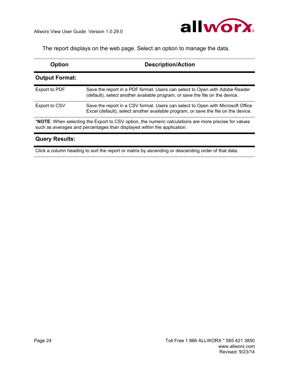

The report displays on the web page. Select an option to manage the data.

| <b>Option</b>         | <b>Description/Action</b>                                                                                                                                                       |
|-----------------------|---------------------------------------------------------------------------------------------------------------------------------------------------------------------------------|
| <b>Output Format:</b> |                                                                                                                                                                                 |
| Export to PDF         | Save the report in a PDF format. Users can select to Open with Adobe Reader<br>(default), select another available program, or save the file on the device.                     |
| Export to CSV         | Save the report in a CSV format. Users can select to Open with Microsoft Office<br>Excel (default), select another available program, or save the file on the device.           |
|                       | *NOTE: When selecting the Export to CSV option, the numeric calculations are more precise for values<br>such as averages and percentages than displayed within the application. |
| A. <b>B. I</b>        |                                                                                                                                                                                 |

### **Query Results:**

Click a column heading to sort the report or matrix by ascending or descending order of that data.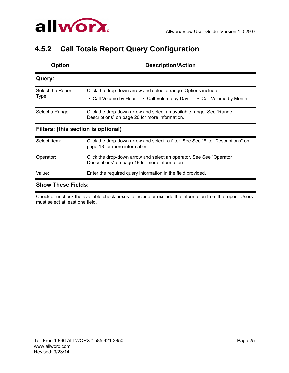

### <span id="page-30-0"></span>**4.5.2 Call Totals Report Query Configuration**

| <b>Option</b>                       | <b>Description/Action</b>                                                                                                              |
|-------------------------------------|----------------------------------------------------------------------------------------------------------------------------------------|
| Query:                              |                                                                                                                                        |
| Select the Report<br>Type:          | Click the drop-down arrow and select a range. Options include:<br>• Call Volume by Hour • Call Volume by Day<br>• Call Volume by Month |
| Select a Range:                     | Click the drop-down arrow and select an available range. See "Range<br>Descriptions" on page 20 for more information.                  |
| Filters: (this section is optional) |                                                                                                                                        |
| Select Item:                        | Click the drop-down arrow and select: a filter. See See "Filter Descriptions" on<br>page 18 for more information.                      |
| Operator:                           | Click the drop-down arrow and select an operator. See See "Operator<br>Descriptions" on page 19 for more information.                  |
| Value:                              | Enter the required query information in the field provided.                                                                            |
| <b>Show These Fields:</b>           |                                                                                                                                        |

Check or uncheck the available check boxes to include or exclude the information from the report. Users must select at least one field.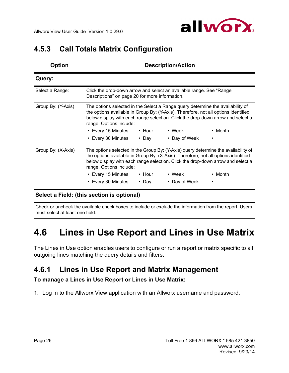

### <span id="page-31-0"></span>**4.5.3 Call Totals Matrix Configuration**

| <b>Option</b>      | <b>Description/Action</b>                                                                                                                                                                                                                                                              |
|--------------------|----------------------------------------------------------------------------------------------------------------------------------------------------------------------------------------------------------------------------------------------------------------------------------------|
| Query:             |                                                                                                                                                                                                                                                                                        |
| Select a Range:    | Click the drop-down arrow and select an available range. See "Range<br>Descriptions" on page 20 for more information.                                                                                                                                                                  |
| Group By: (Y-Axis) | The options selected in the Select a Range query determine the availability of<br>the options available in Group By: (Y-Axis). Therefore, not all options identified<br>below display with each range selection. Click the drop-down arrow and select a<br>range. Options include:     |
|                    | $\cdot$ Hour<br>• Month<br>• Every 15 Minutes<br>• Week                                                                                                                                                                                                                                |
|                    | • Every 30 Minutes<br>• Day of Week<br>$\cdot$ Day<br>٠                                                                                                                                                                                                                                |
| Group By: (X-Axis) | The options selected in the Group By: (Y-Axis) query determine the availability of<br>the options available in Group By: (X-Axis). Therefore, not all options identified<br>below display with each range selection. Click the drop-down arrow and select a<br>range. Options include: |
|                    | • Every 15 Minutes<br>$\cdot$ Month<br>$\cdot$ Hour<br>• Week                                                                                                                                                                                                                          |
|                    | • Every 30 Minutes<br>• Day of Week<br>$\cdot$ Day<br>٠                                                                                                                                                                                                                                |

### **Select a Field: (this section is optional)**

Check or uncheck the available check boxes to include or exclude the information from the report. Users must select at least one field.

## **4.6 Lines in Use Report and Lines in Use Matrix**

The Lines in Use option enables users to configure or run a report or matrix specific to all outgoing lines matching the query details and filters.

### **4.6.1 Lines in Use Report and Matrix Management**

### **To manage a Lines in Use Report or Lines in Use Matrix:**

1. Log in to the Allworx View application with an Allworx username and password.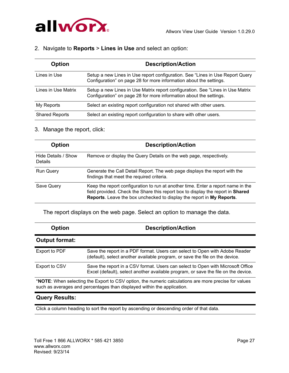

#### 2. Navigate to **Reports** > **Lines in Use** and select an option:

| <b>Option</b>         | <b>Description/Action</b>                                                                                                                            |
|-----------------------|------------------------------------------------------------------------------------------------------------------------------------------------------|
| Lines in Use          | Setup a new Lines in Use report configuration. See "Lines in Use Report Query<br>Configuration" on page 28 for more information about the settings.  |
| Lines in Use Matrix   | Setup a new Lines in Use Matrix report configuration. See "Lines in Use Matrix<br>Configuration" on page 28 for more information about the settings. |
| My Reports            | Select an existing report configuration not shared with other users.                                                                                 |
| <b>Shared Reports</b> | Select an existing report configuration to share with other users.                                                                                   |

#### 3. Manage the report, click:

| <b>Option</b>                         | <b>Description/Action</b>                                                                                                                                                                                                                    |
|---------------------------------------|----------------------------------------------------------------------------------------------------------------------------------------------------------------------------------------------------------------------------------------------|
| Hide Details / Show<br><b>Details</b> | Remove or display the Query Details on the web page, respectively.                                                                                                                                                                           |
| <b>Run Query</b>                      | Generate the Call Detail Report. The web page displays the report with the<br>findings that meet the required criteria.                                                                                                                      |
| Save Query                            | Keep the report configuration to run at another time. Enter a report name in the<br>field provided. Check the Share this report box to display the report in Shared<br>Reports. Leave the box unchecked to display the report in My Reports. |

The report displays on the web page. Select an option to manage the data.

| <b>Option</b>         | <b>Description/Action</b>                                                                                                                                                       |
|-----------------------|---------------------------------------------------------------------------------------------------------------------------------------------------------------------------------|
| <b>Output format:</b> |                                                                                                                                                                                 |
| Export to PDF         | Save the report in a PDF format. Users can select to Open with Adobe Reader<br>(default), select another available program, or save the file on the device.                     |
| Export to CSV         | Save the report in a CSV format. Users can select to Open with Microsoft Office<br>Excel (default), select another available program, or save the file on the device.           |
|                       | *NOTE: When selecting the Export to CSV option, the numeric calculations are more precise for values<br>such as averages and percentages than displayed within the application. |

#### **Query Results:**

Click a column heading to sort the report by ascending or descending order of that data.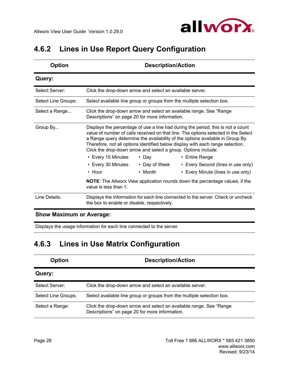

### <span id="page-33-0"></span>**4.6.2 Lines in Use Report Query Configuration**

| <b>Option</b>       |                                                                                                                                                                                                                                                                                                                                                                                                              | <b>Description/Action</b> |                                                                                     |
|---------------------|--------------------------------------------------------------------------------------------------------------------------------------------------------------------------------------------------------------------------------------------------------------------------------------------------------------------------------------------------------------------------------------------------------------|---------------------------|-------------------------------------------------------------------------------------|
| Query:              |                                                                                                                                                                                                                                                                                                                                                                                                              |                           |                                                                                     |
| Select Server:      | Click the drop-down arrow and select an available server.                                                                                                                                                                                                                                                                                                                                                    |                           |                                                                                     |
| Select Line Groups: |                                                                                                                                                                                                                                                                                                                                                                                                              |                           | Select available line group or groups from the multiple selection box.              |
| Select a Range      | Descriptions" on page 20 for more information.                                                                                                                                                                                                                                                                                                                                                               |                           | Click the drop-down arrow and select an available range. See "Range                 |
| Group By            | Displays the percentage of use a line had during the period; this is not a count<br>value of number of calls received on that line. The options selected in the Select<br>a Range query determine the availability of the options available in Group By.<br>Therefore, not all options identified below display with each range selection.<br>Click the drop-down arrow and select a group. Options include: |                           |                                                                                     |
|                     | • Every 15 Minutes                                                                                                                                                                                                                                                                                                                                                                                           | $\cdot$ Day               | • Entire Range                                                                      |
|                     | • Every 30 Minutes                                                                                                                                                                                                                                                                                                                                                                                           | • Day of Week             | • Every Second (lines in use only)                                                  |
|                     | $\cdot$ Hour                                                                                                                                                                                                                                                                                                                                                                                                 | • Month                   | • Every Minute (lines in use only)                                                  |
|                     | value is less than 1.                                                                                                                                                                                                                                                                                                                                                                                        |                           | <b>NOTE:</b> The Allworx View application rounds down the percentage values, if the |
| Line Details:       | the box to enable or disable, respectively.                                                                                                                                                                                                                                                                                                                                                                  |                           | Displays the information for each line connected to the server. Check or uncheck    |

#### **Show Maximum or Average:**

Displays the usage information for each line connected to the server.

### <span id="page-33-1"></span>**4.6.3 Lines in Use Matrix Configuration**

| <b>Option</b>       | <b>Description/Action</b>                                                                                              |  |
|---------------------|------------------------------------------------------------------------------------------------------------------------|--|
| Query:              |                                                                                                                        |  |
| Select Server:      | Click the drop-down arrow and select an available server.                                                              |  |
| Select Line Groups: | Select available line group or groups from the multiple selection box.                                                 |  |
| Select a Range:     | Click the drop-down arrow and select an available range. See "Range"<br>Descriptions" on page 20 for more information. |  |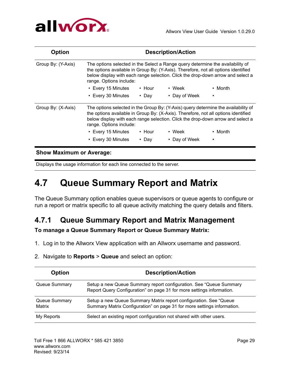

| <b>Option</b>      |                                                                                                                                                                                                                                                                                        |              | <b>Description/Action</b> |           |
|--------------------|----------------------------------------------------------------------------------------------------------------------------------------------------------------------------------------------------------------------------------------------------------------------------------------|--------------|---------------------------|-----------|
| Group By: (Y-Axis) | The options selected in the Select a Range query determine the availability of<br>the options available in Group By: (Y-Axis). Therefore, not all options identified<br>below display with each range selection. Click the drop-down arrow and select a<br>range. Options include:     |              |                           |           |
|                    | • Every 15 Minutes                                                                                                                                                                                                                                                                     | $\cdot$ Hour | • Week                    | • Month   |
|                    | • Every 30 Minutes                                                                                                                                                                                                                                                                     | $\cdot$ Day  | • Day of Week             | $\bullet$ |
| Group By: (X-Axis) | The options selected in the Group By: (Y-Axis) query determine the availability of<br>the options available in Group By: (X-Axis). Therefore, not all options identified<br>below display with each range selection. Click the drop-down arrow and select a<br>range. Options include: |              |                           |           |
|                    | • Every 15 Minutes                                                                                                                                                                                                                                                                     | $\cdot$ Hour | • Week                    | • Month   |
|                    | • Every 30 Minutes                                                                                                                                                                                                                                                                     | • Dav        | Day of Week<br>٠          | $\bullet$ |

**Show Maximum or Average:**

Displays the usage information for each line connected to the server.

## **4.7 Queue Summary Report and Matrix**

The Queue Summary option enables queue supervisors or queue agents to configure or run a report or matrix specific to all queue activity matching the query details and filters.

### **4.7.1 Queue Summary Report and Matrix Management**

**To manage a Queue Summary Report or Queue Summary Matrix:**

- 1. Log in to the Allworx View application with an Allworx username and password.
- 2. Navigate to **Reports** > **Queue** and select an option:

| <b>Option</b>           | <b>Description/Action</b>                                                                                                                     |
|-------------------------|-----------------------------------------------------------------------------------------------------------------------------------------------|
| Queue Summary           | Setup a new Queue Summary report configuration. See "Queue Summary<br>Report Query Configuration" on page 31 for more settings information.   |
| Queue Summary<br>Matrix | Setup a new Queue Summary Matrix report configuration. See "Queue"<br>Summary Matrix Configuration" on page 31 for more settings information. |
| My Reports              | Select an existing report configuration not shared with other users.                                                                          |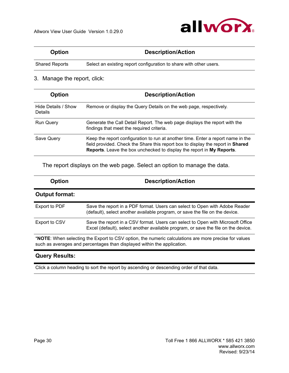

| ιπ |  |
|----|--|
|    |  |

**Option Description/Action** 

Shared Reports Select an existing report configuration to share with other users.

#### 3. Manage the report, click:

| <b>Option</b>                         | <b>Description/Action</b>                                                                                                                                                                                                                    |
|---------------------------------------|----------------------------------------------------------------------------------------------------------------------------------------------------------------------------------------------------------------------------------------------|
| Hide Details / Show<br><b>Details</b> | Remove or display the Query Details on the web page, respectively.                                                                                                                                                                           |
| <b>Run Query</b>                      | Generate the Call Detail Report. The web page displays the report with the<br>findings that meet the required criteria.                                                                                                                      |
| Save Query                            | Keep the report configuration to run at another time. Enter a report name in the<br>field provided. Check the Share this report box to display the report in Shared<br>Reports. Leave the box unchecked to display the report in My Reports. |

The report displays on the web page. Select an option to manage the data.

| <b>Option</b>            | <b>Description/Action</b>                                                                                                                                                               |  |
|--------------------------|-----------------------------------------------------------------------------------------------------------------------------------------------------------------------------------------|--|
| <b>Output format:</b>    |                                                                                                                                                                                         |  |
| Export to PDF            | Save the report in a PDF format. Users can select to Open with Adobe Reader<br>(default), select another available program, or save the file on the device.                             |  |
| Export to CSV            | Save the report in a CSV format. Users can select to Open with Microsoft Office<br>Excel (default), select another available program, or save the file on the device.                   |  |
|                          | * <b>NOTE:</b> When selecting the Export to CSV option, the numeric calculations are more precise for values<br>such as averages and percentages than displayed within the application. |  |
| <b>Outside: Deputies</b> |                                                                                                                                                                                         |  |

#### **Query Results:**

Click a column heading to sort the report by ascending or descending order of that data.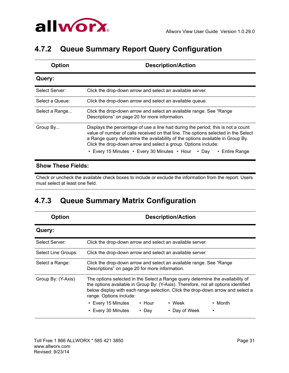

### <span id="page-36-0"></span>**4.7.2 Queue Summary Report Query Configuration**

| Option          | <b>Description/Action</b>                                                                                                                                                                                                                                                                                                                                                                                |
|-----------------|----------------------------------------------------------------------------------------------------------------------------------------------------------------------------------------------------------------------------------------------------------------------------------------------------------------------------------------------------------------------------------------------------------|
| Query:          |                                                                                                                                                                                                                                                                                                                                                                                                          |
| Select Server:  | Click the drop-down arrow and select an available server.                                                                                                                                                                                                                                                                                                                                                |
| Select a Queue: | Click the drop-down arrow and select an available queue.                                                                                                                                                                                                                                                                                                                                                 |
| Select a Range  | Click the drop-down arrow and select an available range. See "Range"<br>Descriptions" on page 20 for more information.                                                                                                                                                                                                                                                                                   |
| Group By        | Displays the percentage of use a line had during the period; this is not a count<br>value of number of calls received on that line. The options selected in the Select<br>a Range query determine the availability of the options available in Group By.<br>Click the drop-down arrow and select a group. Options include:<br>• Every 15 Minutes • Every 30 Minutes • Hour • Day<br>$\cdot$ Entire Range |

#### **Show These Fields:**

Check or uncheck the available check boxes to include or exclude the information from the report. Users must select at least one field.

### <span id="page-36-1"></span>**4.7.3 Queue Summary Matrix Configuration**

| Option              | <b>Description/Action</b>                                                                                                                                                                                                                                                                                                                     |
|---------------------|-----------------------------------------------------------------------------------------------------------------------------------------------------------------------------------------------------------------------------------------------------------------------------------------------------------------------------------------------|
| Query:              |                                                                                                                                                                                                                                                                                                                                               |
| Select Server:      | Click the drop-down arrow and select an available server.                                                                                                                                                                                                                                                                                     |
| Select Line Groups: | Click the drop-down arrow and select an available server.                                                                                                                                                                                                                                                                                     |
| Select a Range:     | Click the drop-down arrow and select an available range. See "Range<br>Descriptions" on page 20 for more information.                                                                                                                                                                                                                         |
| Group By: (Y-Axis)  | The options selected in the Select a Range query determine the availability of<br>the options available in Group By: (Y-Axis). Therefore, not all options identified<br>below display with each range selection. Click the drop-down arrow and select a<br>range. Options include:<br>• Every 15 Minutes<br>$\cdot$ Hour<br>• Week<br>• Month |
|                     | Every 30 Minutes<br>Day of Week<br>Dav<br>$\bullet$<br>$\bullet$<br>$\bullet$<br>٠                                                                                                                                                                                                                                                            |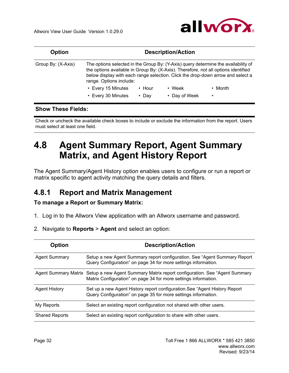

| <b>Option</b>      |                                                                                                                                                                                                                                                                                        |              | <b>Description/Action</b> |           |
|--------------------|----------------------------------------------------------------------------------------------------------------------------------------------------------------------------------------------------------------------------------------------------------------------------------------|--------------|---------------------------|-----------|
| Group By: (X-Axis) | The options selected in the Group By: (Y-Axis) query determine the availability of<br>the options available in Group By: (X-Axis). Therefore, not all options identified<br>below display with each range selection. Click the drop-down arrow and select a<br>range. Options include: |              |                           |           |
|                    | • Every 15 Minutes                                                                                                                                                                                                                                                                     | $\cdot$ Hour | • Week                    | • Month   |
|                    | • Every 30 Minutes                                                                                                                                                                                                                                                                     | • Day        | • Day of Week             | $\bullet$ |

### **Show These Fields:**

Check or uncheck the available check boxes to include or exclude the information from the report. Users must select at least one field.

## **4.8 Agent Summary Report, Agent Summary Matrix, and Agent History Report**

The Agent Summary/Agent History option enables users to configure or run a report or matrix specific to agent activity matching the query details and filters.

### **4.8.1 Report and Matrix Management**

### **To manage a Report or Summary Matrix:**

- 1. Log in to the Allworx View application with an Allworx username and password.
- 2. Navigate to **Reports** > **Agent** and select an option:

| <b>Option</b>         | <b>Description/Action</b>                                                                                                                                          |
|-----------------------|--------------------------------------------------------------------------------------------------------------------------------------------------------------------|
| <b>Agent Summary</b>  | Setup a new Agent Summary report configuration. See "Agent Summary Report<br>Query Configuration" on page 34 for more settings information.                        |
|                       | Agent Summary Matrix Setup a new Agent Summary Matrix report configuration. See "Agent Summary"<br>Matrix Configuration" on page 34 for more settings information. |
| <b>Agent History</b>  | Set up a new Agent History report configuration. See "Agent History Report<br>Query Configuration" on page 35 for more settings information.                       |
| My Reports            | Select an existing report configuration not shared with other users.                                                                                               |
| <b>Shared Reports</b> | Select an existing report configuration to share with other users.                                                                                                 |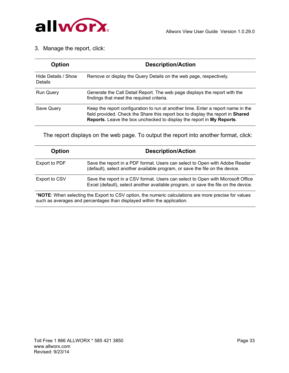

### 3. Manage the report, click:

| <b>Option</b>                         | <b>Description/Action</b>                                                                                                                                                                                                                    |
|---------------------------------------|----------------------------------------------------------------------------------------------------------------------------------------------------------------------------------------------------------------------------------------------|
| Hide Details / Show<br><b>Details</b> | Remove or display the Query Details on the web page, respectively.                                                                                                                                                                           |
| <b>Run Query</b>                      | Generate the Call Detail Report. The web page displays the report with the<br>findings that meet the required criteria.                                                                                                                      |
| Save Query                            | Keep the report configuration to run at another time. Enter a report name in the<br>field provided. Check the Share this report box to display the report in Shared<br>Reports. Leave the box unchecked to display the report in My Reports. |

The report displays on the web page. To output the report into another format, click:

| <b>Option</b> | <b>Description/Action</b>                                                                                                                                             |
|---------------|-----------------------------------------------------------------------------------------------------------------------------------------------------------------------|
| Export to PDF | Save the report in a PDF format. Users can select to Open with Adobe Reader<br>(default), select another available program, or save the file on the device.           |
| Export to CSV | Save the report in a CSV format. Users can select to Open with Microsoft Office<br>Excel (default), select another available program, or save the file on the device. |
|               | * <b>NOTE:</b> When selecting the Export to CSV option, the numeric calculations are more precise for values                                                          |

such as averages and percentages than displayed within the application.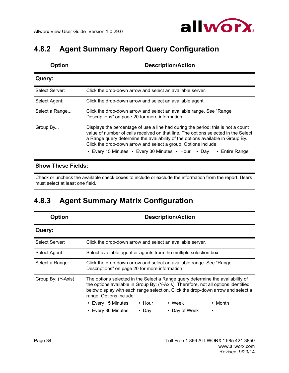

### <span id="page-39-0"></span>**4.8.2 Agent Summary Report Query Configuration**

| Option         | <b>Description/Action</b>                                                                                                                                                                                                                                                                                                                                                                                |  |  |
|----------------|----------------------------------------------------------------------------------------------------------------------------------------------------------------------------------------------------------------------------------------------------------------------------------------------------------------------------------------------------------------------------------------------------------|--|--|
| Query:         |                                                                                                                                                                                                                                                                                                                                                                                                          |  |  |
| Select Server: | Click the drop-down arrow and select an available server.                                                                                                                                                                                                                                                                                                                                                |  |  |
| Select Agent:  | Click the drop-down arrow and select an available agent.                                                                                                                                                                                                                                                                                                                                                 |  |  |
| Select a Range | Click the drop-down arrow and select an available range. See "Range"<br>Descriptions" on page 20 for more information.                                                                                                                                                                                                                                                                                   |  |  |
| Group By       | Displays the percentage of use a line had during the period; this is not a count<br>value of number of calls received on that line. The options selected in the Select<br>a Range query determine the availability of the options available in Group By.<br>Click the drop-down arrow and select a group. Options include:<br>• Every 15 Minutes • Every 30 Minutes • Hour • Day<br>$\cdot$ Entire Range |  |  |

#### **Show These Fields:**

Check or uncheck the available check boxes to include or exclude the information from the report. Users must select at least one field.

### <span id="page-39-1"></span>**4.8.3 Agent Summary Matrix Configuration**

| <b>Option</b>      | <b>Description/Action</b>                                                                                                                                                                                                                                                          |  |  |
|--------------------|------------------------------------------------------------------------------------------------------------------------------------------------------------------------------------------------------------------------------------------------------------------------------------|--|--|
| Query:             |                                                                                                                                                                                                                                                                                    |  |  |
| Select Server:     | Click the drop-down arrow and select an available server.                                                                                                                                                                                                                          |  |  |
| Select Agent:      | Select available agent or agents from the multiple selection box.                                                                                                                                                                                                                  |  |  |
| Select a Range:    | Click the drop-down arrow and select an available range. See "Range<br>Descriptions" on page 20 for more information.                                                                                                                                                              |  |  |
| Group By: (Y-Axis) | The options selected in the Select a Range query determine the availability of<br>the options available in Group By: (Y-Axis). Therefore, not all options identified<br>below display with each range selection. Click the drop-down arrow and select a<br>range. Options include: |  |  |
|                    | • Every 15 Minutes<br>$\cdot$ Hour<br>• Week<br>• Month                                                                                                                                                                                                                            |  |  |
|                    | • Every 30 Minutes<br>• Day of Week<br>• Day<br>٠                                                                                                                                                                                                                                  |  |  |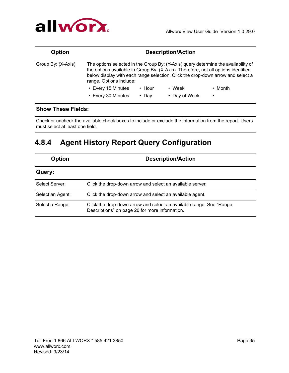

| <b>Option</b>      |                                                                                                                                                                                                                                                                                        |                             | <b>Description/Action</b> |                            |
|--------------------|----------------------------------------------------------------------------------------------------------------------------------------------------------------------------------------------------------------------------------------------------------------------------------------|-----------------------------|---------------------------|----------------------------|
| Group By: (X-Axis) | The options selected in the Group By: (Y-Axis) query determine the availability of<br>the options available in Group By: (X-Axis). Therefore, not all options identified<br>below display with each range selection. Click the drop-down arrow and select a<br>range. Options include: |                             |                           |                            |
|                    | • Every 15 Minutes<br>• Every 30 Minutes                                                                                                                                                                                                                                               | $\cdot$ Hour<br>$\cdot$ Day | • Week<br>• Day of Week   | $\cdot$ Month<br>$\bullet$ |
|                    |                                                                                                                                                                                                                                                                                        |                             |                           |                            |

#### **Show These Fields:**

Check or uncheck the available check boxes to include or exclude the information from the report. Users must select at least one field.

### <span id="page-40-0"></span>**4.8.4 Agent History Report Query Configuration**

| <b>Option</b>    | <b>Description/Action</b>                                                                                              |  |
|------------------|------------------------------------------------------------------------------------------------------------------------|--|
| Query:           |                                                                                                                        |  |
| Select Server:   | Click the drop-down arrow and select an available server.                                                              |  |
| Select an Agent: | Click the drop-down arrow and select an available agent.                                                               |  |
| Select a Range:  | Click the drop-down arrow and select an available range. See "Range"<br>Descriptions" on page 20 for more information. |  |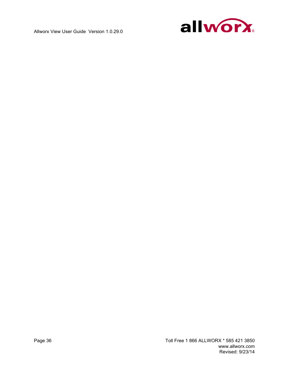Allworx View User Guide Version 1.0.29.0

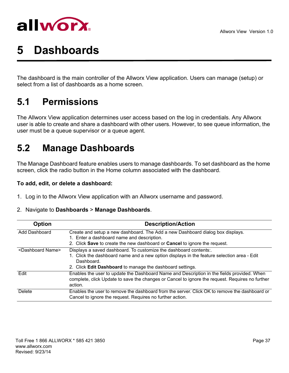

# **5 Dashboards**

The dashboard is the main controller of the Allworx View application. Users can manage (setup) or select from a list of dashboards as a home screen.

## **5.1 Permissions**

The Allworx View application determines user access based on the log in credentials. Any Allworx user is able to create and share a dashboard with other users. However, to see queue information, the user must be a queue supervisor or a queue agent.

## **5.2 Manage Dashboards**

The Manage Dashboard feature enables users to manage dashboards. To set dashboard as the home screen, click the radio button in the Home column associated with the dashboard.

### **To add, edit, or delete a dashboard:**

1. Log in to the Allworx View application with an Allworx username and password.

### 2. Navigate to **Dashboards** > **Manage Dashboards**.

| Option                          | <b>Description/Action</b>                                                                                                                                                                                                                  |
|---------------------------------|--------------------------------------------------------------------------------------------------------------------------------------------------------------------------------------------------------------------------------------------|
| Add Dashboard                   | Create and setup a new dashboard. The Add a new Dashboard dialog box displays.<br>1. Enter a dashboard name and description.<br>2. Click Save to create the new dashboard or Cancel to ignore the request.                                 |
| <dashboard name=""></dashboard> | Displays a saved dashboard. To customize the dashboard contents:.<br>1. Click the dashboard name and a new option displays in the feature selection area - Edit<br>Dashboard.<br>2. Click Edit Dashboard to manage the dashboard settings. |
| Edit                            | Enables the user to update the Dashboard Name and Description in the fields provided. When<br>complete, click Update to save the changes or Cancel to ignore the request. Requires no further<br>action.                                   |
| <b>Delete</b>                   | Enables the user to remove the dashboard from the server. Click OK to remove the dashboard or<br>Cancel to ignore the request. Requires no further action.                                                                                 |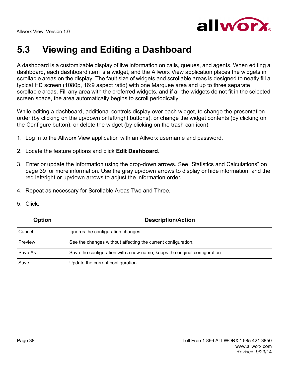Allworx View Version 1.0



## **5.3 Viewing and Editing a Dashboard**

A dashboard is a customizable display of live information on calls, queues, and agents. When editing a dashboard, each dashboard item is a widget, and the Allworx View application places the widgets in scrollable areas on the display. The fault size of widgets and scrollable areas is designed to neatly fill a typical HD screen (1080p, 16:9 aspect ratio) with one Marquee area and up to three separate scrollable areas. Fill any area with the preferred widgets, and if all the widgets do not fit in the selected screen space, the area automatically begins to scroll periodically.

While editing a dashboard, additional controls display over each widget, to change the presentation order (by clicking on the up/down or left/right buttons), or change the widget contents (by clicking on the Configure button), or delete the widget (by clicking on the trash can icon).

- 1. Log in to the Allworx View application with an Allworx username and password.
- 2. Locate the feature options and click **Edit Dashboard**.
- 3. Enter or update the information using the drop-down arrows. See ["Statistics and Calculations" on](#page-44-0)  [page 39](#page-44-0) for more information. Use the gray up/down arrows to display or hide information, and the red left/right or up/down arrows to adjust the information order.
- 4. Repeat as necessary for Scrollable Areas Two and Three.
- 5. Click:

| <b>Option</b> | <b>Description/Action</b>                                                 |
|---------------|---------------------------------------------------------------------------|
| Cancel        | Ignores the configuration changes.                                        |
| Preview       | See the changes without affecting the current configuration.              |
| Save As       | Save the configuration with a new name; keeps the original configuration. |
| Save          | Update the current configuration.                                         |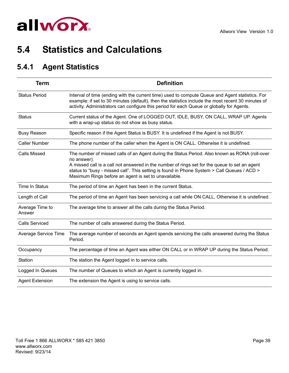

## <span id="page-44-0"></span>**5.4 Statistics and Calculations**

### **5.4.1 Agent Statistics**

| <b>Term</b>               | <b>Definition</b>                                                                                                                                                                                                                                                                                                                                                     |
|---------------------------|-----------------------------------------------------------------------------------------------------------------------------------------------------------------------------------------------------------------------------------------------------------------------------------------------------------------------------------------------------------------------|
| <b>Status Period</b>      | Interval of time (ending with the current time) used to compute Queue and Agent statistics. For<br>example: if set to 30 minutes (default), then the statistics include the most recent 30 minutes of<br>activity. Administrators can configure this period for each Queue or globally for Agents.                                                                    |
| <b>Status</b>             | Current status of the Agent. One of LOGGED OUT, IDLE, BUSY, ON CALL, WRAP UP. Agents<br>with a wrap-up status do not show as busy status.                                                                                                                                                                                                                             |
| <b>Busy Reason</b>        | Specific reason if the Agent Status is BUSY. It is undefined if the Agent is not BUSY.                                                                                                                                                                                                                                                                                |
| <b>Caller Number</b>      | The phone number of the caller when the Agent is ON CALL. Otherwise it is undefined.                                                                                                                                                                                                                                                                                  |
| <b>Calls Missed</b>       | The number of missed calls of an Agent during the Status Period. Also known as RONA (roll-over<br>no answer).<br>A missed call is a call not answered in the number of rings set for the queue to set an agent<br>status to "busy - missed call". This setting is found in Phone System > Call Queues / ACD ><br>Maximum Rings before an agent is set to unavailable. |
| Time In Status            | The period of time an Agent has been in the current Status.                                                                                                                                                                                                                                                                                                           |
| Length of Call            | The period of time an Agent has been servicing a call while ON CALL, Otherwise it is undefined.                                                                                                                                                                                                                                                                       |
| Average Time to<br>Answer | The average time to answer all the calls during the Status Period.                                                                                                                                                                                                                                                                                                    |
| <b>Calls Serviced</b>     | The number of calls answered during the Status Period.                                                                                                                                                                                                                                                                                                                |
| Average Service Time      | The average number of seconds an Agent spends servicing the calls answered during the Status<br>Period.                                                                                                                                                                                                                                                               |
| Occupancy                 | The percentage of time an Agent was either ON CALL or in WRAP UP during the Status Period.                                                                                                                                                                                                                                                                            |
| Station                   | The station the Agent logged in to service calls.                                                                                                                                                                                                                                                                                                                     |
| Logged In Queues          | The number of Queues to which an Agent is currently logged in.                                                                                                                                                                                                                                                                                                        |
| <b>Agent Extension</b>    | The extension the Agent is using to service calls.                                                                                                                                                                                                                                                                                                                    |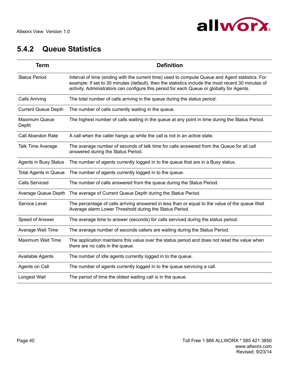

### **5.4.2 Queue Statistics**

| <b>Term</b>                   | <b>Definition</b>                                                                                                                                                                                                                                                                                  |
|-------------------------------|----------------------------------------------------------------------------------------------------------------------------------------------------------------------------------------------------------------------------------------------------------------------------------------------------|
| <b>Status Period</b>          | Interval of time (ending with the current time) used to compute Queue and Agent statistics. For<br>example: if set to 30 minutes (default), then the statistics include the most recent 30 minutes of<br>activity. Administrators can configure this period for each Queue or globally for Agents. |
| <b>Calls Arriving</b>         | The total number of calls arriving in the queue during the status period.                                                                                                                                                                                                                          |
| <b>Current Queue Depth</b>    | The number of calls currently waiting in the queue.                                                                                                                                                                                                                                                |
| <b>Maximum Queue</b><br>Depth | The highest number of calls waiting in the queue at any point in time during the Status Period.                                                                                                                                                                                                    |
| Call Abandon Rate             | A call when the caller hangs up while the call is not in an active state.                                                                                                                                                                                                                          |
| Talk Time Average             | The average number of seconds of talk time for calls answered from the Queue for all call<br>answered during the Status Period.                                                                                                                                                                    |
| <b>Agents in Busy Status</b>  | The number of agents currently logged in to the queue that are in a Busy status.                                                                                                                                                                                                                   |
| <b>Total Agents in Queue</b>  | The number of agents currently logged in to the queue.                                                                                                                                                                                                                                             |
| <b>Calls Serviced</b>         | The number of calls answered from the queue during the Status Period.                                                                                                                                                                                                                              |
| Average Queue Depth           | The average of Current Queue Depth during the Status Period.                                                                                                                                                                                                                                       |
| Service Level                 | The percentage of calls arriving answered in less than or equal to the value of the queue Wait<br>Average alarm Lower Threshold during the Status Period.                                                                                                                                          |
| Speed of Answer               | The average time to answer (seconds) for calls serviced during the status period.                                                                                                                                                                                                                  |
| Average Wait Time             | The average number of seconds callers are waiting during the Status Period.                                                                                                                                                                                                                        |
| <b>Maximum Wait Time</b>      | The application maintains this value over the status period and does not reset the value when<br>there are no calls in the queue.                                                                                                                                                                  |
| <b>Available Agents</b>       | The number of idle agents currently logged in to the queue.                                                                                                                                                                                                                                        |
| Agents on Call                | The number of agents currently logged in to the queue servicing a call.                                                                                                                                                                                                                            |
| Longest Wait                  | The period of time the oldest waiting call is in the queue.                                                                                                                                                                                                                                        |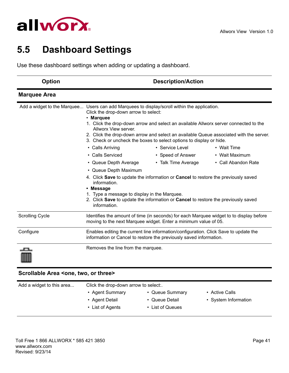

## **5.5 Dashboard Settings**

Use these dashboard settings when adding or updating a dashboard.

| <b>Option</b>               | <b>Description/Action</b>                                                                                                                                                                                                                                                                                                                                                                                                                                                                                                                                                                                                                                     |                                                             |                                                                                                                                                |  |
|-----------------------------|---------------------------------------------------------------------------------------------------------------------------------------------------------------------------------------------------------------------------------------------------------------------------------------------------------------------------------------------------------------------------------------------------------------------------------------------------------------------------------------------------------------------------------------------------------------------------------------------------------------------------------------------------------------|-------------------------------------------------------------|------------------------------------------------------------------------------------------------------------------------------------------------|--|
| <b>Marquee Area</b>         |                                                                                                                                                                                                                                                                                                                                                                                                                                                                                                                                                                                                                                                               |                                                             |                                                                                                                                                |  |
| Add a widget to the Marquee | Users can add Marquees to display/scroll within the application.<br>Click the drop-down arrow to select:<br>• Marquee<br>1. Click the drop-down arrow and select an available Allworx server connected to the<br>Allworx View server.<br>3. Check or uncheck the boxes to select options to display or hide.<br>• Calls Arriving<br>• Calls Serviced<br>• Queue Depth Average<br>• Queue Depth Maximum<br>4. Click Save to update the information or Cancel to restore the previously saved<br>information.<br>• Message<br>1. Type a message to display in the Marquee.<br>2. Click Save to update the information or Cancel to restore the previously saved | • Service Level<br>• Speed of Answer<br>• Talk Time Average | 2. Click the drop-down arrow and select an available Queue associated with the server.<br>• Wait Time<br>• Wait Maximum<br>• Call Abandon Rate |  |
|                             | information.                                                                                                                                                                                                                                                                                                                                                                                                                                                                                                                                                                                                                                                  |                                                             |                                                                                                                                                |  |
| <b>Scrolling Cycle</b>      | Identifies the amount of time (in seconds) for each Marquee widget to to display before<br>moving to the next Marquee widget. Enter a minimum value of 05.                                                                                                                                                                                                                                                                                                                                                                                                                                                                                                    |                                                             |                                                                                                                                                |  |
| Configure                   | Enables editing the current line information/configuration. Click Save to update the<br>information or Cancel to restore the previously saved information.                                                                                                                                                                                                                                                                                                                                                                                                                                                                                                    |                                                             |                                                                                                                                                |  |
|                             | Removes the line from the marquee.                                                                                                                                                                                                                                                                                                                                                                                                                                                                                                                                                                                                                            |                                                             |                                                                                                                                                |  |

### **Scrollable Area <one, two, or three>**

| Add a widget to this area | Click the drop-down arrow to select:. |                  |                      |
|---------------------------|---------------------------------------|------------------|----------------------|
|                           | • Agent Summary                       | • Queue Summary  | • Active Calls       |
|                           | • Agent Detail                        | • Queue Detail   | • System Information |
|                           | • List of Agents                      | • List of Queues |                      |
|                           |                                       |                  |                      |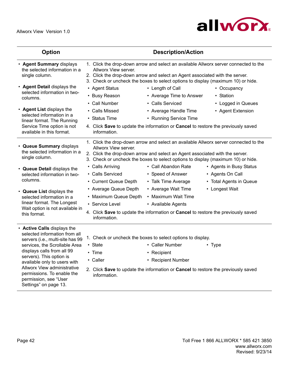

| <b>Option</b>                                                                                                                                                                                                                                                                                                                              | <b>Description/Action</b>                                                                                                                                        |  |  |
|--------------------------------------------------------------------------------------------------------------------------------------------------------------------------------------------------------------------------------------------------------------------------------------------------------------------------------------------|------------------------------------------------------------------------------------------------------------------------------------------------------------------|--|--|
| • Agent Summary displays<br>the selected information in a                                                                                                                                                                                                                                                                                  | 1. Click the drop-down arrow and select an available Allworx server connected to the<br>Allworx View server.                                                     |  |  |
| single column.                                                                                                                                                                                                                                                                                                                             | 2. Click the drop-down arrow and select an Agent associated with the server.<br>3. Check or uncheck the boxes to select options to display (maximum 10) or hide. |  |  |
| • Agent Detail displays the<br>selected information in two-<br>columns.                                                                                                                                                                                                                                                                    | • Agent Status<br>• Length of Call<br>• Occupancy                                                                                                                |  |  |
|                                                                                                                                                                                                                                                                                                                                            | • Busy Reason<br>• Average Time to Answer<br>• Station                                                                                                           |  |  |
|                                                                                                                                                                                                                                                                                                                                            | • Call Number<br>• Calls Serviced<br>• Logged in Queues                                                                                                          |  |  |
| • Agent List displays the<br>selected information in a<br>linear format. The Running<br>Service Time option is not<br>available in this format.                                                                                                                                                                                            | • Calls Missed<br>• Average Handle Time<br>• Agent Extension                                                                                                     |  |  |
|                                                                                                                                                                                                                                                                                                                                            | • Status Time<br>• Running Service Time                                                                                                                          |  |  |
|                                                                                                                                                                                                                                                                                                                                            | 4. Click Save to update the information or Cancel to restore the previously saved<br>information.                                                                |  |  |
| • Queue Summary displays<br>the selected information in a<br>single column.                                                                                                                                                                                                                                                                | 1. Click the drop-down arrow and select an available Allworx server connected to the<br>Allworx View server.                                                     |  |  |
|                                                                                                                                                                                                                                                                                                                                            | 2. Click the drop-down arrow and select an Agent associated with the server.<br>3. Check or uncheck the boxes to select options to display (maximum 10) or hide. |  |  |
| • Queue Detail displays the                                                                                                                                                                                                                                                                                                                | • Calls Arriving<br>• Call Abandon Rate<br>• Agents in Busy Status                                                                                               |  |  |
| selected information in two-<br>columns.                                                                                                                                                                                                                                                                                                   | • Calls Serviced<br>• Speed of Answer<br>• Agents On Call                                                                                                        |  |  |
|                                                                                                                                                                                                                                                                                                                                            | • Current Queue Depth<br>• Talk Time Average<br>• Total Agents in Queue                                                                                          |  |  |
| • Queue List displays the                                                                                                                                                                                                                                                                                                                  | • Average Queue Depth<br>• Longest Wait<br>• Average Wait Time                                                                                                   |  |  |
| selected information in a<br>linear format. The Longest<br>Wait option is not available in<br>this format.                                                                                                                                                                                                                                 | • Maximum Queue Depth<br>• Maximum Wait Time                                                                                                                     |  |  |
|                                                                                                                                                                                                                                                                                                                                            | • Service Level<br>• Available Agents                                                                                                                            |  |  |
|                                                                                                                                                                                                                                                                                                                                            | 4. Click Save to update the information or Cancel to restore the previously saved<br>information.                                                                |  |  |
| • Active Calls displays the<br>selected information from all<br>servers (i.e., multi-site has 99<br>services, the Scrollable Area<br>displays calls from all 99<br>servers). This option is<br>available only to users with<br>Allworx View administrative<br>permissions. To enable the<br>permission, see "User<br>Settings" on page 13. | 1. Check or uncheck the boxes to select options to display.<br>• Caller Number<br>• State<br>• Type<br>• Time<br>• Recipient                                     |  |  |
|                                                                                                                                                                                                                                                                                                                                            | $\cdot$ Caller<br>• Recipient Number                                                                                                                             |  |  |
|                                                                                                                                                                                                                                                                                                                                            | 2. Click Save to update the information or Cancel to restore the previously saved<br>information.                                                                |  |  |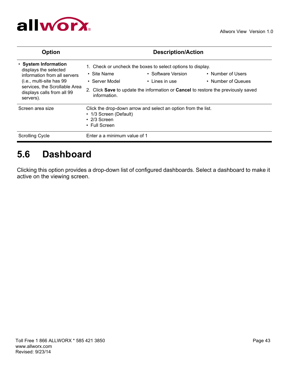

| <b>Option</b>                                                                                                                                                                         | <b>Description/Action</b>                                                                                                      |                                                                                                                                                                                          |                                         |  |
|---------------------------------------------------------------------------------------------------------------------------------------------------------------------------------------|--------------------------------------------------------------------------------------------------------------------------------|------------------------------------------------------------------------------------------------------------------------------------------------------------------------------------------|-----------------------------------------|--|
| • System Information<br>displays the selected<br>information from all servers<br>(i.e., multi-site has 99<br>services, the Scrollable Area<br>displays calls from all 99<br>servers). | • Site Name<br>• Server Model<br>information.                                                                                  | 1. Check or uncheck the boxes to select options to display.<br>• Software Version<br>• Lines in use<br>2. Click Save to update the information or Cancel to restore the previously saved | • Number of Users<br>• Number of Queues |  |
| Screen area size                                                                                                                                                                      | Click the drop-down arrow and select an option from the list.<br>• 1/3 Screen (Default)<br>$\cdot$ 2/3 Screen<br>• Full Screen |                                                                                                                                                                                          |                                         |  |
| <b>Scrolling Cycle</b>                                                                                                                                                                | Enter a a minimum value of 1                                                                                                   |                                                                                                                                                                                          |                                         |  |

## **5.6 Dashboard**

Clicking this option provides a drop-down list of configured dashboards. Select a dashboard to make it active on the viewing screen.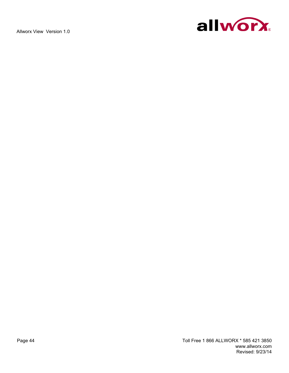Allworx View Version 1.0